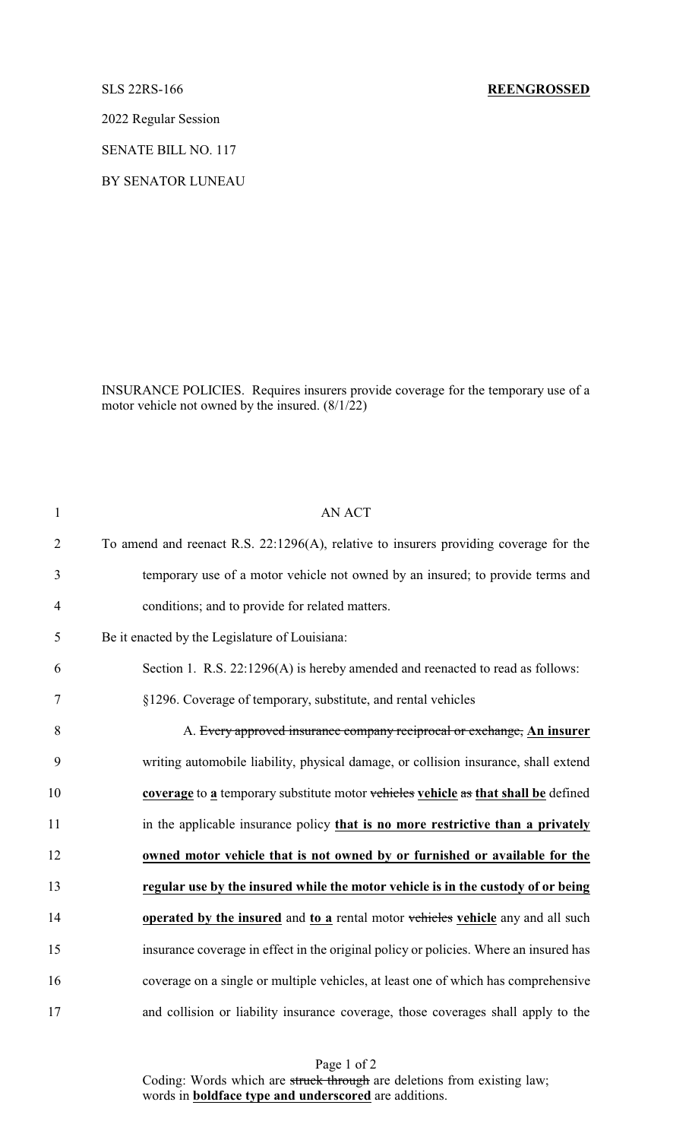# SLS 22RS-166 **REENGROSSED**

2022 Regular Session

SENATE BILL NO. 117

BY SENATOR LUNEAU

INSURANCE POLICIES. Requires insurers provide coverage for the temporary use of a motor vehicle not owned by the insured. (8/1/22)

| $\mathbf{1}$   | <b>AN ACT</b>                                                                         |
|----------------|---------------------------------------------------------------------------------------|
| $\overline{2}$ | To amend and reenact R.S. 22:1296(A), relative to insurers providing coverage for the |
| 3              | temporary use of a motor vehicle not owned by an insured; to provide terms and        |
| $\overline{4}$ | conditions; and to provide for related matters.                                       |
| 5              | Be it enacted by the Legislature of Louisiana:                                        |
| 6              | Section 1. R.S. 22:1296(A) is hereby amended and reenacted to read as follows:        |
| $\tau$         | §1296. Coverage of temporary, substitute, and rental vehicles                         |
| 8              | A. Every approved insurance company reciprocal or exchange, An insurer                |
| 9              | writing automobile liability, physical damage, or collision insurance, shall extend   |
| 10             | coverage to a temporary substitute motor vehicles vehicle as that shall be defined    |
| 11             | in the applicable insurance policy that is no more restrictive than a privately       |
| 12             | owned motor vehicle that is not owned by or furnished or available for the            |
| 13             | regular use by the insured while the motor vehicle is in the custody of or being      |
| 14             | operated by the insured and to a rental motor vehicles vehicle any and all such       |
| 15             | insurance coverage in effect in the original policy or policies. Where an insured has |
| 16             | coverage on a single or multiple vehicles, at least one of which has comprehensive    |
| 17             | and collision or liability insurance coverage, those coverages shall apply to the     |

Page 1 of 2 Coding: Words which are struck through are deletions from existing law; words in **boldface type and underscored** are additions.